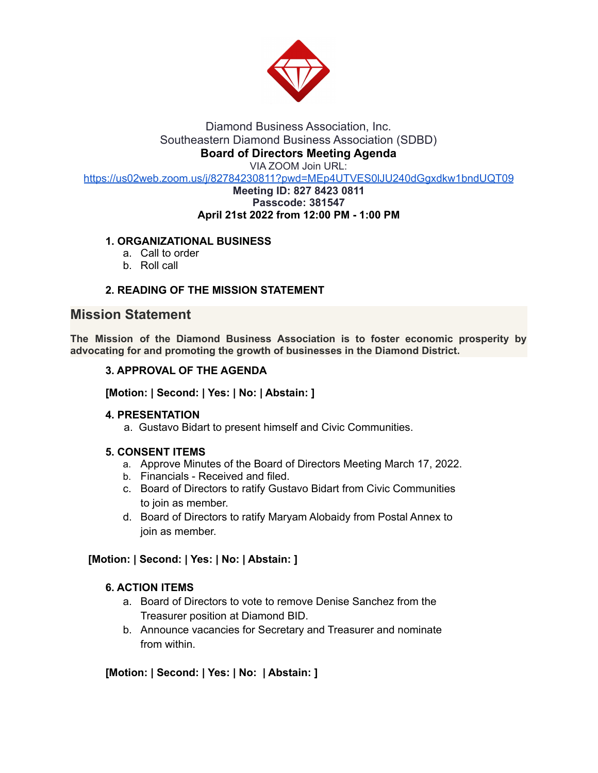

### Diamond Business Association, Inc. Southeastern Diamond Business Association (SDBD) **Board of Directors Meeting Agenda**

VIA ZOOM Join URL:

<https://us02web.zoom.us/j/82784230811?pwd=MEp4UTVES0lJU240dGgxdkw1bndUQT09>

#### **Meeting ID: 827 8423 0811 Passcode: 381547 April 21st 2022 from 12:00 PM - 1:00 PM**

# **1. ORGANIZATIONAL BUSINESS**

- a. Call to order
- b. Roll call

## **2. READING OF THE MISSION STATEMENT**

# **Mission Statement**

**The Mission of the Diamond Business Association is to foster economic prosperity by advocating for and promoting the growth of businesses in the Diamond District.**

### **3. APPROVAL OF THE AGENDA**

**[Motion: | Second: | Yes: | No: | Abstain: ]**

### **4. PRESENTATION**

a. Gustavo Bidart to present himself and Civic Communities.

## **5. CONSENT ITEMS**

- a. Approve Minutes of the Board of Directors Meeting March 17, 2022.
- b. Financials Received and filed.
- c. Board of Directors to ratify Gustavo Bidart from Civic Communities to join as member.
- d. Board of Directors to ratify Maryam Alobaidy from Postal Annex to join as member.

### **[Motion: | Second: | Yes: | No: | Abstain: ]**

### **6. ACTION ITEMS**

- a. Board of Directors to vote to remove Denise Sanchez from the Treasurer position at Diamond BID.
- b. Announce vacancies for Secretary and Treasurer and nominate from within.

## **[Motion: | Second: | Yes: | No: | Abstain: ]**